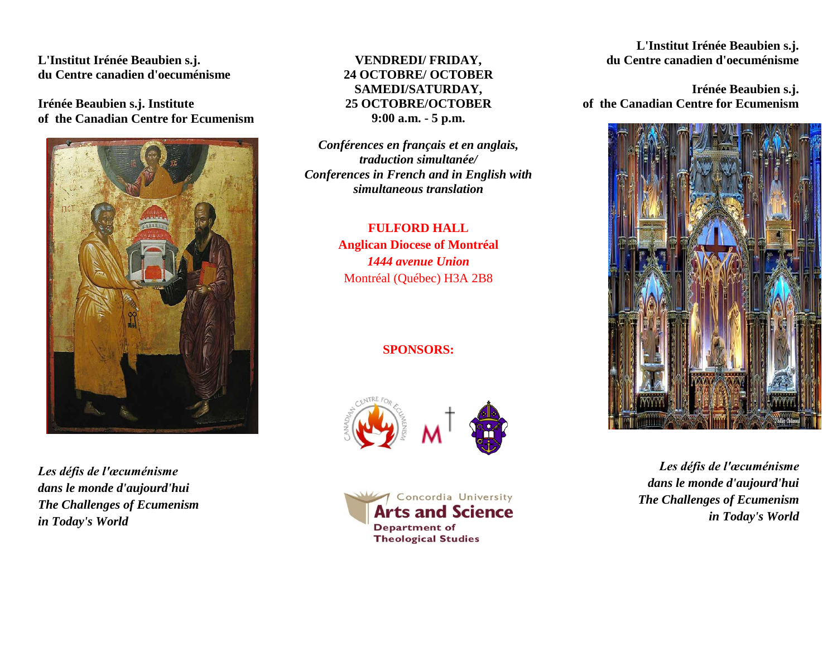**L'Institut Irénée Beaubien s.j. du Centre canadien d'oecuménisme**

**Irénée Beaubien s.j. Institute of the Canadian Centre for Ecumenism** 



*Les défis de l'œcuménisme dans le monde d'aujourd'hui The Challenges of Ecumenism in Today's World*

### **VENDREDI/ FRIDAY, 24 OCTOBRE/ OCTOBER SAMEDI/SATURDAY, 25 OCTOBRE/OCTOBER 9:00 a.m. - 5 p.m.**

*Conférences en français et en anglais, traduction simultanée/ Conferences in French and in English with simultaneous translation*

## **FULFORD HALL Anglican Diocese of Montréal** *1444 avenue Union* Montréal (Québec) H3A 2B8

## **SPONSORS:**





#### **L'Institut Irénée Beaubien s.j. du Centre canadien d'oecuménisme**

**Irénée Beaubien s.j. of the Canadian Centre for Ecumenism**



*Les défis de l'œcuménisme dans le monde d'aujourd'hui The Challenges of Ecumenism in Today's World*